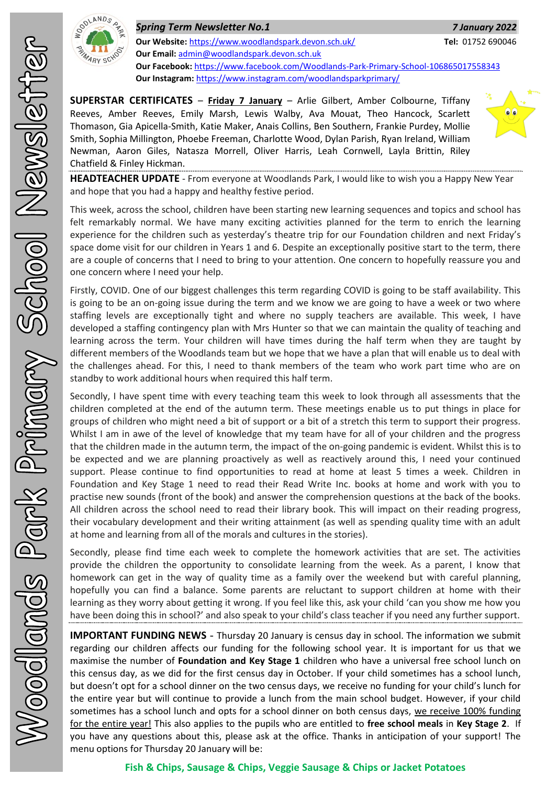

*Spring Term Newsletter No.1 7 January 2022* **Our Website:** <https://www.woodlandspark.devon.sch.uk/> **Tel:** 01752 690046 **Our Email:** [admin@woodlandspark.devon.sch.uk](mailto:admin@woodlandspark.devon.sch.uk) **Our Facebook:** <https://www.facebook.com/Woodlands-Park-Primary-School-106865017558343> **Our Instagram:** <https://www.instagram.com/woodlandsparkprimary/>

**SUPERSTAR CERTIFICATES** – **Friday 7 January** – Arlie Gilbert, Amber Colbourne, Tiffany Reeves, Amber Reeves, Emily Marsh, Lewis Walby, Ava Mouat, Theo Hancock, Scarlett Thomason, Gia Apicella-Smith, Katie Maker, Anais Collins, Ben Southern, Frankie Purdey, Mollie Smith, Sophia Millington, Phoebe Freeman, Charlotte Wood, Dylan Parish, Ryan Ireland, William Newman, Aaron Giles, Natasza Morrell, Oliver Harris, Leah Cornwell, Layla Brittin, Riley Chatfield & Finley Hickman.



**HEADTEACHER UPDATE** - From everyone at Woodlands Park, I would like to wish you a Happy New Year and hope that you had a happy and healthy festive period.

This week, across the school, children have been starting new learning sequences and topics and school has felt remarkably normal. We have many exciting activities planned for the term to enrich the learning experience for the children such as yesterday's theatre trip for our Foundation children and next Friday's space dome visit for our children in Years 1 and 6. Despite an exceptionally positive start to the term, there are a couple of concerns that I need to bring to your attention. One concern to hopefully reassure you and one concern where I need your help.

Firstly, COVID. One of our biggest challenges this term regarding COVID is going to be staff availability. This is going to be an on-going issue during the term and we know we are going to have a week or two where staffing levels are exceptionally tight and where no supply teachers are available. This week, I have developed a staffing contingency plan with Mrs Hunter so that we can maintain the quality of teaching and learning across the term. Your children will have times during the half term when they are taught by different members of the Woodlands team but we hope that we have a plan that will enable us to deal with the challenges ahead. For this, I need to thank members of the team who work part time who are on standby to work additional hours when required this half term.

Secondly, I have spent time with every teaching team this week to look through all assessments that the children completed at the end of the autumn term. These meetings enable us to put things in place for groups of children who might need a bit of support or a bit of a stretch this term to support their progress. Whilst I am in awe of the level of knowledge that my team have for all of your children and the progress that the children made in the autumn term, the impact of the on-going pandemic is evident. Whilst this is to be expected and we are planning proactively as well as reactively around this, I need your continued support. Please continue to find opportunities to read at home at least 5 times a week. Children in Foundation and Key Stage 1 need to read their Read Write Inc. books at home and work with you to practise new sounds (front of the book) and answer the comprehension questions at the back of the books. All children across the school need to read their library book. This will impact on their reading progress, their vocabulary development and their writing attainment (as well as spending quality time with an adult at home and learning from all of the morals and cultures in the stories).

Secondly, please find time each week to complete the homework activities that are set. The activities provide the children the opportunity to consolidate learning from the week. As a parent, I know that homework can get in the way of quality time as a family over the weekend but with careful planning, hopefully you can find a balance. Some parents are reluctant to support children at home with their learning as they worry about getting it wrong. If you feel like this, ask your child 'can you show me how you have been doing this in school?' and also speak to your child's class teacher if you need any further support.

**IMPORTANT FUNDING NEWS** - Thursday 20 January is census day in school. The information we submit regarding our children affects our funding for the following school year. It is important for us that we maximise the number of **Foundation and Key Stage 1** children who have a universal free school lunch on this census day, as we did for the first census day in October. If your child sometimes has a school lunch, but doesn't opt for a school dinner on the two census days, we receive no funding for your child's lunch for the entire year but will continue to provide a lunch from the main school budget. However, if your child sometimes has a school lunch and opts for a school dinner on both census days, we receive 100% funding for the entire year! This also applies to the pupils who are entitled to **free school meals** in **Key Stage 2**. If you have any questions about this, please ask at the office. Thanks in anticipation of your support! The menu options for Thursday 20 January will be: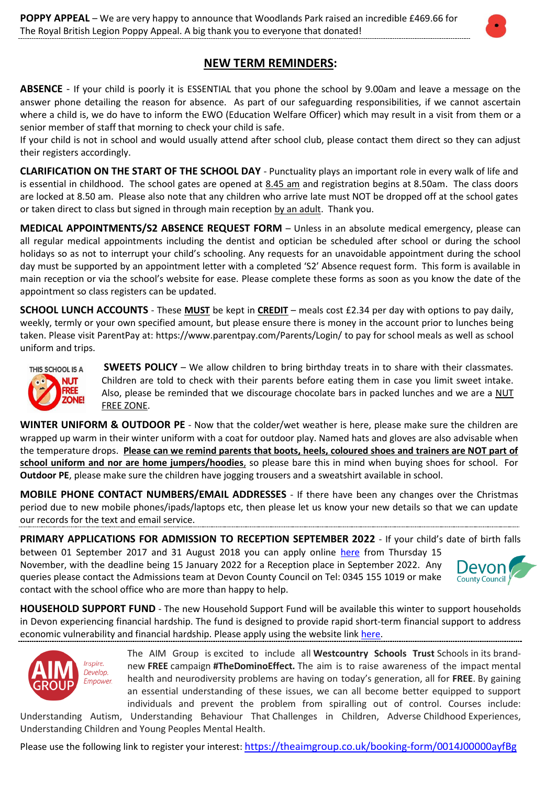# **NEW TERM REMINDERS:**

**ABSENCE** - If your child is poorly it is ESSENTIAL that you phone the school by 9.00am and leave a message on the answer phone detailing the reason for absence. As part of our safeguarding responsibilities, if we cannot ascertain where a child is, we do have to inform the EWO (Education Welfare Officer) which may result in a visit from them or a senior member of staff that morning to check your child is safe.

If your child is not in school and would usually attend after school club, please contact them direct so they can adjust their registers accordingly.

**CLARIFICATION ON THE START OF THE SCHOOL DAY** - Punctuality plays a[n important](http://www.importantindia.com/7613/short-essay-on-importance-of-punctuality/) role in every walk of life and is essential in childhood. The school gates are opened at 8.45 am and registration begins at 8.50am. The class doors are locked at 8.50 am. Please also note that any children who arrive late must NOT be dropped off at the school gates or taken direct to class but signed in through main reception by an adult. Thank you.

**MEDICAL APPOINTMENTS/S2 ABSENCE REQUEST FORM** – Unless in an absolute medical emergency, please can all regular medical appointments including the dentist and optician be scheduled after school or during the school holidays so as not to interrupt your child's schooling. Any requests for an unavoidable appointment during the school day must be supported by an appointment letter with a completed 'S2' Absence request form. This form is available in main reception or via the school's website for ease. Please complete these forms as soon as you know the date of the appointment so class registers can be updated.

**SCHOOL LUNCH ACCOUNTS** - These **MUST** be kept in **CREDIT** – meals cost £2.34 per day with options to pay daily, weekly, termly or your own specified amount, but please ensure there is money in the account prior to lunches being taken. Please visit ParentPay at:<https://www.parentpay.com/Parents/Login/> to pay for school meals as well as school uniform and trips.



**SWEETS POLICY** – We allow children to bring birthday treats in to share with their classmates. Children are told to check with their parents before eating them in case you limit sweet intake. Also, please be reminded that we discourage chocolate bars in packed lunches and we are a NUT FREE ZONE.

**WINTER UNIFORM & OUTDOOR PE** - Now that the colder/wet weather is here, please make sure the children are wrapped up warm in their winter uniform with a coat for outdoor play. Named hats and gloves are also advisable when the temperature drops. **Please can we remind parents that boots, heels, coloured shoes and trainers are NOT part of school uniform and nor are home jumpers/hoodies**, so please bare this in mind when buying shoes for school. For **Outdoor PE**, please make sure the children have jogging trousers and a sweatshirt available in school.

**MOBILE PHONE CONTACT NUMBERS/EMAIL ADDRESSES** - If there have been any changes over the Christmas period due to new mobile phones/ipads/laptops etc, then please let us know your new details so that we can update our records for the text and email service.

**PRIMARY APPLICATIONS FOR ADMISSION TO RECEPTION SEPTEMBER 2022** - If your child's date of birth falls between 01 September 2017 and 31 August 2018 you can apply online [here](https://www.devon.gov.uk/educationandfamilies/school-information/apply-for-a-school-place/apply-for-a-primary-school-place) from Thursday 15

November, with the deadline being 15 January 2022 for a Reception place in September 2022. Any queries please contact the Admissions team at Devon County Council on Tel: 0345 155 1019 or make contact with the school office who are more than happy to help.



**HOUSEHOLD SUPPORT FUND** - The new Household Support Fund will be available this winter to support households in Devon experiencing financial hardship. The fund is designed to provide rapid short-term financial support to address economic vulnerability and financial hardship. Please apply using the website link [here.](https://www.southhams.gov.uk/household-support)



The AIM Group is excited to include all **Westcountry Schools Trust** Schools in its brandnew **FREE** campaign **#TheDominoEffect.** The aim is to raise awareness of the impact mental health and neurodiversity problems are having on today's generation, all for **FREE**. By gaining an essential understanding of these issues, we can all become better equipped to support individuals and prevent the problem from spiralling out of control. Courses include:

Understanding Autism, Understanding Behaviour That Challenges in Children, Adverse Childhood Experiences, Understanding Children and Young Peoples Mental Health.

Please use the following link to register your interest: <https://theaimgroup.co.uk/booking-form/0014J00000ayfBg>